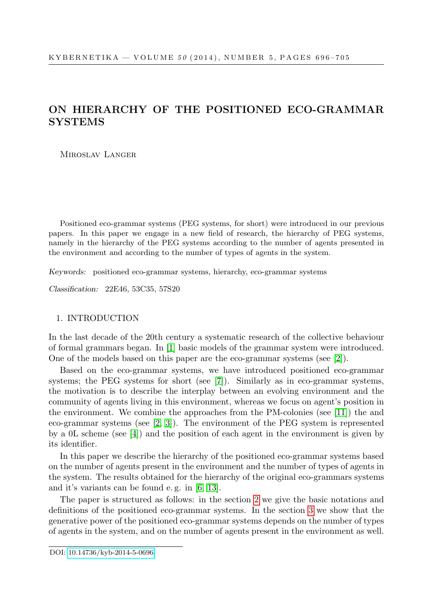# ON HIERARCHY OF THE POSITIONED ECO-GRAMMAR **SYSTEMS**

Miroslav Langer

Positioned eco-grammar systems (PEG systems, for short) were introduced in our previous papers. In this paper we engage in a new field of research, the hierarchy of PEG systems, namely in the hierarchy of the PEG systems according to the number of agents presented in the environment and according to the number of types of agents in the system.

Keywords: positioned eco-grammar systems, hierarchy, eco-grammar systems

Classification: 22E46, 53C35, 57S20

## 1. INTRODUCTION

In the last decade of the 20th century a systematic research of the collective behaviour of formal grammars began. In [\[1\]](#page-9-0) basic models of the grammar system were introduced. One of the models based on this paper are the eco-grammar systems (see [\[2\]](#page-9-1)).

Based on the eco-grammar systems, we have introduced positioned eco-grammar systems; the PEG systems for short (see [\[7\]](#page-9-2)). Similarly as in eco-grammar systems, the motivation is to describe the interplay between an evolving environment and the community of agents living in this environment, whereas we focus on agent's position in the environment. We combine the approaches from the PM-colonies (see [\[11\]](#page-9-3)) the and eco-grammar systems (see [\[2,](#page-9-1) [3\]](#page-9-4)). The environment of the PEG system is represented by a 0L scheme (see [\[4\]](#page-9-5)) and the position of each agent in the environment is given by its identifier.

In this paper we describe the hierarchy of the positioned eco-grammar systems based on the number of agents present in the environment and the number of types of agents in the system. The results obtained for the hierarchy of the original eco-grammars systems and it's variants can be found e. g. in [\[6,](#page-9-6) [13\]](#page-9-7).

The paper is structured as follows: in the section [2](#page-1-0) we give the basic notations and definitions of the positioned eco-grammar systems. In the section [3](#page-3-0) we show that the generative power of the positioned eco-grammar systems depends on the number of types of agents in the system, and on the number of agents present in the environment as well.

DOI: [10.14736/kyb-2014-5-0696](http://doi.org/10.14736/kyb-2014-5-0696)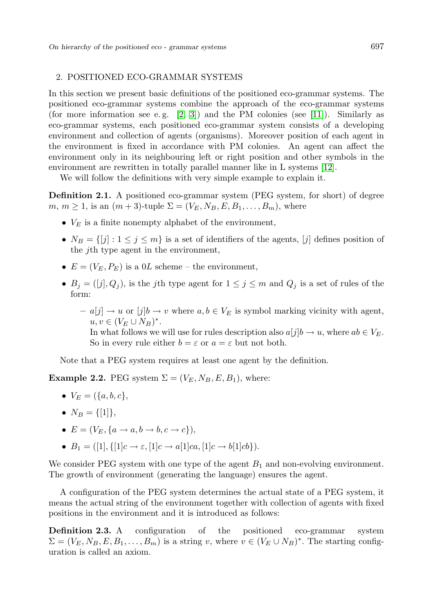#### <span id="page-1-0"></span>2. POSITIONED ECO-GRAMMAR SYSTEMS

In this section we present basic definitions of the positioned eco-grammar systems. The positioned eco-grammar systems combine the approach of the eco-grammar systems (for more information see e.g.  $[2, 3]$  $[2, 3]$ ) and the PM colonies (see [\[11\]](#page-9-3)). Similarly as eco-grammar systems, each positioned eco-grammar system consists of a developing environment and collection of agents (organisms). Moreover position of each agent in the environment is fixed in accordance with PM colonies. An agent can affect the environment only in its neighbouring left or right position and other symbols in the environment are rewritten in totally parallel manner like in L systems [\[12\]](#page-9-8).

We will follow the definitions with very simple example to explain it.

Definition 2.1. A positioned eco-grammar system (PEG system, for short) of degree  $m, m \geq 1$ , is an  $(m+3)$ -tuple  $\Sigma = (V_E, N_B, E, B_1, \ldots, B_m)$ , where

- $V_E$  is a finite nonempty alphabet of the environment,
- $N_B = \{ [j] : 1 \le j \le m \}$  is a set of identifiers of the agents,  $[j]$  defines position of the jth type agent in the environment,
- $E = (V_E, P_E)$  is a 0L scheme the environment,
- $B_j = ([j], Q_j)$ , is the jth type agent for  $1 \leq j \leq m$  and  $Q_j$  is a set of rules of the form:
	- $a[j] \to u$  or  $[j]b \to v$  where  $a, b \in V_E$  is symbol marking vicinity with agent,  $u, v \in (V_E \cup N_B)^*$ .

In what follows we will use for rules description also  $a[j]b \rightarrow u$ , where  $ab \in V_E$ . So in every rule either  $b = \varepsilon$  or  $a = \varepsilon$  but not both.

Note that a PEG system requires at least one agent by the definition.

**Example 2.2.** PEG system  $\Sigma = (V_E, N_B, E, B_1)$ , where:

- $V_E = (\{a, b, c\},\)$
- $N_B = \{ [1] \},\$
- $E = (V_E, \{a \rightarrow a, b \rightarrow b, c \rightarrow c\}),$
- $B_1 = ([1], {[1]c \rightarrow \varepsilon, [1]c \rightarrow a[1]ca, [1]c \rightarrow b[1]cb}).$

We consider PEG system with one type of the agent  $B_1$  and non-evolving environment. The growth of environment (generating the language) ensures the agent.

A configuration of the PEG system determines the actual state of a PEG system, it means the actual string of the environment together with collection of agents with fixed positions in the environment and it is introduced as follows:

Definition 2.3. A configuration of the positioned eco-grammar system  $\Sigma = (V_E, N_B, E, B_1, \ldots, B_m)$  is a string v, where  $v \in (V_E \cup N_B)^*$ . The starting configuration is called an axiom.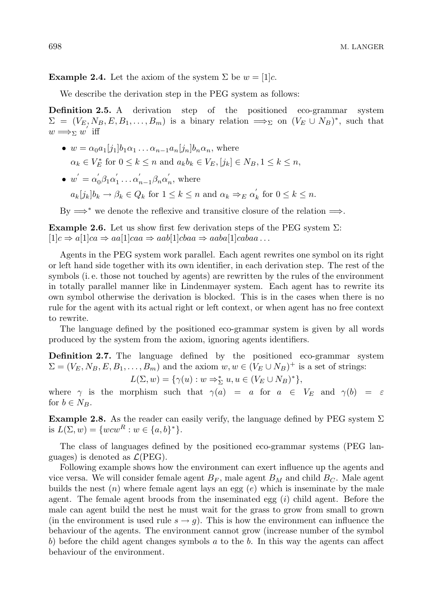**Example 2.4.** Let the axiom of the system  $\Sigma$  be  $w = [1]c$ .

We describe the derivation step in the PEG system as follows:

Definition 2.5. A derivation step of the positioned eco-grammar system  $\Sigma = (V_E, N_B, E, B_1, \ldots, B_m)$  is a binary relation  $\implies$ <sub>Σ</sub> on  $(V_E \cup N_B)^*$ , such that  $w \Longrightarrow_{\Sigma} w'$  iff

- $w = \alpha_0 a_1[j_1]b_1 \alpha_1 \ldots \alpha_{n-1} a_n[j_n]b_n \alpha_n$ , where  $\alpha_k \in V_E^*$  for  $0 \leq k \leq n$  and  $a_k b_k \in V_E$ ,  $[j_k] \in N_B$ ,  $1 \leq k \leq n$ ,
- $w' = \alpha'_0 \beta_1 \alpha'_1 \dots \alpha'_{n-1} \beta_n \alpha'_n$ , where  $a_k[j_k]b_k \to \beta_k \in Q_k$  for  $1 \leq k \leq n$  and  $\alpha_k \Rightarrow_E \alpha'_k$  for  $0 \leq k \leq n$ .

By  $\Longrightarrow^*$  we denote the reflexive and transitive closure of the relation  $\Longrightarrow$ .

**Example 2.6.** Let us show first few derivation steps of the PEG system  $\Sigma$ :  $[1]c \Rightarrow a[1]ca \Rightarrow aa[1]caa \Rightarrow aab[1]cbaa \Rightarrow aaba[1]cabaa \dots$ 

Agents in the PEG system work parallel. Each agent rewrites one symbol on its right or left hand side together with its own identifier, in each derivation step. The rest of the symbols (i. e. those not touched by agents) are rewritten by the rules of the environment in totally parallel manner like in Lindenmayer system. Each agent has to rewrite its own symbol otherwise the derivation is blocked. This is in the cases when there is no rule for the agent with its actual right or left context, or when agent has no free context to rewrite.

The language defined by the positioned eco-grammar system is given by all words produced by the system from the axiom, ignoring agents identifiers.

Definition 2.7. The language defined by the positioned eco-grammar system  $\Sigma = (V_E, N_B, E, B_1, \dots, B_m)$  and the axiom  $w, w \in (V_E \cup N_B)^+$  is a set of strings:

$$
L(\Sigma, w) = \{ \gamma(u) : w \Rightarrow_{\Sigma}^* u, u \in (V_E \cup N_B)^* \},
$$

where  $\gamma$  is the morphism such that  $\gamma(a) = a$  for  $a \in V_E$  and  $\gamma(b) = \varepsilon$ for  $b \in N_B$ .

**Example 2.8.** As the reader can easily verify, the language defined by PEG system  $\Sigma$ is  $L(\Sigma, w) = \{wcw^R : w \in \{a, b\}^*\}.$ 

The class of languages defined by the positioned eco-grammar systems (PEG languages) is denoted as  $\mathcal{L}(PEG)$ .

Following example shows how the environment can exert influence up the agents and vice versa. We will consider female agent  $B_F$ , male agent  $B_M$  and child  $B_C$ . Male agent builds the nest  $(n)$  where female agent lays an egg  $(e)$  which is inseminate by the male agent. The female agent broods from the inseminated egg  $(i)$  child agent. Before the male can agent build the nest he must wait for the grass to grow from small to grown (in the environment is used rule  $s \to q$ ). This is how the environment can influence the behaviour of the agents. The environment cannot grow (increase number of the symbol b) before the child agent changes symbols  $a$  to the  $b$ . In this way the agents can affect behaviour of the environment.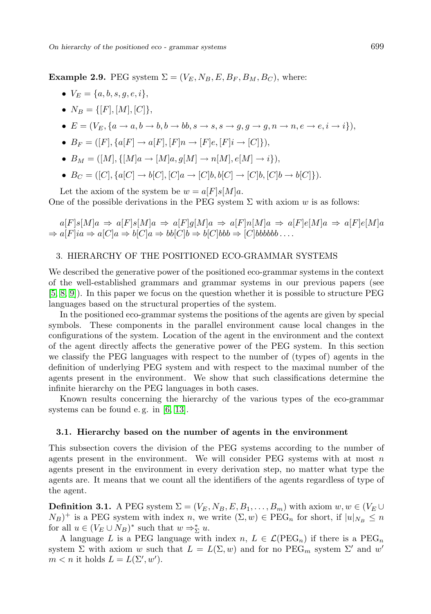**Example 2.9.** PEG system  $\Sigma = (V_E, N_B, E, B_F, B_M, B_C)$ , where:

- $V_F = \{a, b, s, q, e, i\},\$
- $N_B = \{[F], [M], [C]\},\$
- $E = (V_E, \{a \rightarrow a, b \rightarrow b, b \rightarrow bb, s \rightarrow s, s \rightarrow g, q \rightarrow g, n \rightarrow n, e \rightarrow e, i \rightarrow i\}),$
- $B_F = (F, \{a[F] \rightarrow a[F], [F] \rightarrow F]e, [F]i \rightarrow [C]\},$
- $B_M = ([M], \{ [M]a \to [M]a, g[M] \to n[M], e[M] \to i \}),$
- $B_C = ( [C], \{a[C] \rightarrow b[C], [C]a \rightarrow [C]b, b[C] \rightarrow [C]b, [C]b \rightarrow b[C] \}).$

Let the axiom of the system be  $w = a[F]s[M]a$ . One of the possible derivations in the PEG system  $\Sigma$  with axiom w is as follows:

 $a[F]s[M]a \Rightarrow a[F]s[M]a \Rightarrow a[F]g[M]a \Rightarrow a[F]n[M]a \Rightarrow a[F]e[M]a \Rightarrow a[F]e[M]a$  $\Rightarrow$  a[F|ia  $\Rightarrow$  a[C|a  $\Rightarrow$  b[C|a  $\Rightarrow$  bb[C|b  $\Rightarrow$  b[C|bbb  $\Rightarrow$  [C|bbbbb ...

# <span id="page-3-0"></span>3. HIERARCHY OF THE POSITIONED ECO-GRAMMAR SYSTEMS

We described the generative power of the positioned eco-grammar systems in the context of the well-established grammars and grammar systems in our previous papers (see [\[5,](#page-9-9) [8,](#page-9-10) [9\]](#page-9-11)). In this paper we focus on the question whether it is possible to structure PEG languages based on the structural properties of the system.

In the positioned eco-grammar systems the positions of the agents are given by special symbols. These components in the parallel environment cause local changes in the configurations of the system. Location of the agent in the environment and the context of the agent directly affects the generative power of the PEG system. In this section we classify the PEG languages with respect to the number of (types of) agents in the definition of underlying PEG system and with respect to the maximal number of the agents present in the environment. We show that such classifications determine the infinite hierarchy on the PEG languages in both cases.

Known results concerning the hierarchy of the various types of the eco-grammar systems can be found e. g. in [\[6,](#page-9-6) [13\]](#page-9-7).

## 3.1. Hierarchy based on the number of agents in the environment

This subsection covers the division of the PEG systems according to the number of agents present in the environment. We will consider PEG systems with at most  $n$ agents present in the environment in every derivation step, no matter what type the agents are. It means that we count all the identifiers of the agents regardless of type of the agent.

**Definition 3.1.** A PEG system  $\Sigma = (V_E, N_B, E, B_1, \ldots, B_m)$  with axiom  $w, w \in (V_E \cup$  $(N_B)^+$  is a PEG system with index n, we write  $(\Sigma, w) \in \text{PEG}_n$  for short, if  $|u|_{N_B} \leq n$ for all  $u \in (V_E \cup N_B)^*$  such that  $w \Rightarrow_{\Sigma}^* u$ .

A language L is a PEG language with index  $n, L \in \mathcal{L}(PEG_n)$  if there is a  $PEG_n$ system  $\Sigma$  with axiom w such that  $L = L(\Sigma, w)$  and for no  $\text{PEG}_m$  system  $\Sigma'$  and w'  $m < n$  it holds  $L = L(\Sigma', w')$ .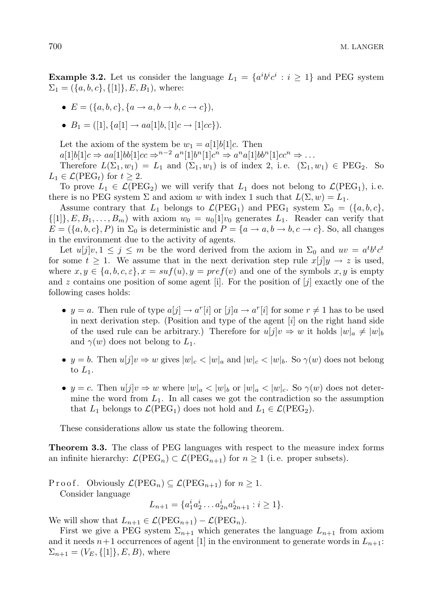**Example 3.2.** Let us consider the language  $L_1 = \{a^i b^i c^i : i \geq 1\}$  and PEG system  $\Sigma_1 = (\{a, b, c\}, \{[1]\}, E, B_1)$ , where:

- $E = (\{a, b, c\}, \{a \rightarrow a, b \rightarrow b, c \rightarrow c\}),$
- $B_1 = ([1], \{a[1] \rightarrow aa[1]b, [1]c \rightarrow [1]cc\}).$

Let the axiom of the system be  $w_1 = a[1]b[1]c$ . Then

 $a[1]b[1]c \Rightarrow aa[1]bb[1]cc \Rightarrow^{n-2} a^n[1]b^n[1]c^n \Rightarrow a^n a[1]bb^n[1]cc^n \Rightarrow \dots$ 

Therefore  $L(\Sigma_1, w_1) = L_1$  and  $(\Sigma_1, w_1)$  is of index 2, i.e.  $(\Sigma_1, w_1) \in \text{PEG}_2$ . So  $L_1 \in \mathcal{L}(\text{PEG}_t)$  for  $t \geq 2$ .

To prove  $L_1 \in \mathcal{L}(\text{PEG}_2)$  we will verify that  $L_1$  does not belong to  $\mathcal{L}(\text{PEG}_1)$ , i.e. there is no PEG system  $\Sigma$  and axiom w with index 1 such that  $L(\Sigma, w) = L_1$ .

Assume contrary that  $L_1$  belongs to  $\mathcal{L}(PEG_1)$  and  $PEG_1$  system  $\Sigma_0 = {\{a, b, c\}},$  $\{[1], E, B_1, \ldots, B_m\}$  with axiom  $w_0 = u_0[1]v_0$  generates  $L_1$ . Reader can verify that  $E = (\{a, b, c\}, P)$  in  $\Sigma_0$  is deterministic and  $P = \{a \rightarrow a, b \rightarrow b, c \rightarrow c\}$ . So, all changes in the environment due to the activity of agents.

Let  $u[j]v, 1 \leq j \leq m$  be the word derived from the axiom in  $\Sigma_0$  and  $uv = a^t b^t c^t$ for some  $t \geq 1$ . We assume that in the next derivation step rule  $x[j]y \to z$  is used, where  $x, y \in \{a, b, c, \varepsilon\}, x = \operatorname{su}(u), y = \operatorname{pref}(v)$  and one of the symbols  $x, y$  is empty and z contains one position of some agent [i]. For the position of  $[j]$  exactly one of the following cases holds:

- $y = a$ . Then rule of type  $a[j] \to a^r[i]$  or  $[j]a \to a^r[i]$  for some  $r \neq 1$  has to be used in next derivation step. (Position and type of the agent  $[i]$  on the right hand side of the used rule can be arbitrary.) Therefore for  $u[j]v \Rightarrow w$  it holds  $|w|_a \neq |w|_b$ and  $\gamma(w)$  does not belong to  $L_1$ .
- y = b. Then  $u[j]v \Rightarrow w$  gives  $|w|_c < |w|_a$  and  $|w|_c < |w|_b$ . So  $\gamma(w)$  does not belong to  $L_1$ .
- $y = c$ . Then  $u[j]v \Rightarrow w$  where  $|w|_a < |w|_b$  or  $|w|_a < |w|_c$ . So  $\gamma(w)$  does not determine the word from  $L_1$ . In all cases we got the contradiction so the assumption that  $L_1$  belongs to  $\mathcal{L}(PEG_1)$  does not hold and  $L_1 \in \mathcal{L}(PEG_2)$ .

These considerations allow us state the following theorem.

Theorem 3.3. The class of PEG languages with respect to the measure index forms an infinite hierarchy:  $\mathcal{L}(PEG_n) \subset \mathcal{L}(PEG_{n+1})$  for  $n \geq 1$  (i.e. proper subsets).

P r o o f. Obviously  $\mathcal{L}(PEG_n) \subseteq \mathcal{L}(PEG_{n+1})$  for  $n \geq 1$ . Consider language

$$
L_{n+1} = \{a_1^i a_2^i \dots a_{2n}^i a_{2n+1}^i : i \ge 1\}.
$$

We will show that  $L_{n+1} \in \mathcal{L}(\text{PEG}_{n+1}) - \mathcal{L}(\text{PEG}_n)$ .

First we give a PEG system  $\Sigma_{n+1}$  which generates the language  $L_{n+1}$  from axiom and it needs  $n+1$  occurrences of agent [1] in the environment to generate words in  $L_{n+1}$ :  $\Sigma_{n+1} = (V_E, \{[1]\}, E, B)$ , where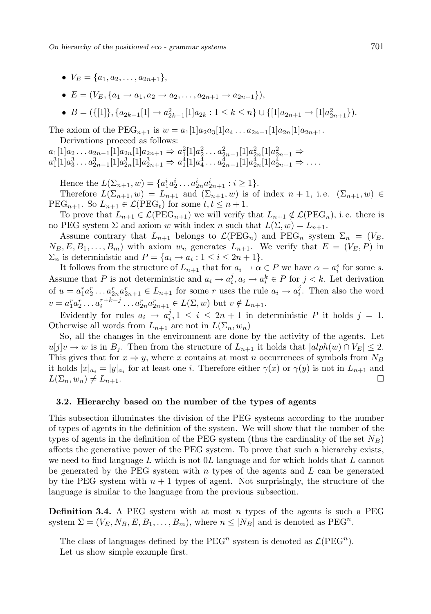- $V_E = \{a_1, a_2, \ldots, a_{2n+1}\},\$
- $E = (V_E, \{a_1 \rightarrow a_1, a_2 \rightarrow a_2, \dots, a_{2n+1} \rightarrow a_{2n+1}\}),$

• 
$$
B = (\{[1]\}, \{a_{2k-1}[1] \to a_{2k-1}^2[1]a_{2k} : 1 \le k \le n\} \cup \{[1]a_{2n+1} \to [1]a_{2n+1}^2\} ).
$$

The axiom of the PEG<sub>n+1</sub> is  $w = a_1[1]a_2a_3[1]a_4 \ldots a_{2n-1}[1]a_{2n}[1]a_{2n+1}$ . Derivations proceed as follows:

 $a_1[1]a_2 \ldots a_{2n-1}[1]a_{2n}[1]a_{2n+1} \Rightarrow a_1^2[1]a_2^2 \ldots a_{2n-1}^2[1]a_{2n}^2[1]a_{2n+1}^2 \Rightarrow$  $a_1^3[1]a_3^3 \ldots a_{2n-1}^3[1]a_{2n}^3[1]a_{2n+1}^3 \Rightarrow a_1^4[1]a_4^4 \ldots a_{2n-1}^4[1]a_{2n}^4[1]a_{2n+1}^4 \Rightarrow \ldots$ 

Hence the  $L(\Sigma_{n+1}, w) = \{a_1^i a_2^i \dots a_{2n}^i a_{2n+1}^i : i \ge 1\}.$ 

Therefore  $L(\Sigma_{n+1}, w) = L_{n+1}$  and  $(\Sigma_{n+1}, w)$  is of index  $n+1$ , i.e.  $(\Sigma_{n+1}, w) \in$  $\text{PEG}_{n+1}$ . So  $L_{n+1} \in \mathcal{L}(\text{PEG}_t)$  for some  $t, t \leq n+1$ .

To prove that  $L_{n+1} \in \mathcal{L}(PEG_{n+1})$  we will verify that  $L_{n+1} \notin \mathcal{L}(PEG_n)$ , i.e. there is no PEG system  $\Sigma$  and axiom w with index n such that  $L(\Sigma, w) = L_{n+1}$ .

Assume contrary that  $L_{n+1}$  belongs to  $\mathcal{L}(PEG_n)$  and  $PEG_n$  system  $\Sigma_n = (V_E,$  $N_B, E, B_1, \ldots, B_m$  with axiom  $w_n$  generates  $L_{n+1}$ . We verify that  $E = (V_E, P)$  in  $\Sigma_n$  is deterministic and  $P = \{a_i \to a_i : 1 \le i \le 2n + 1\}.$ 

It follows from the structure of  $L_{n+1}$  that for  $a_i \to \alpha \in P$  we have  $\alpha = a_i^s$  for some s. Assume that P is not deterministic and  $a_i \to a_i^j, a_i \to a_i^k \in P$  for  $j < k$ . Let derivation of  $u = a_1^r a_2^r \dots a_{2n}^r a_{2n+1}^r \in L_{n+1}$  for some r uses the rule  $a_i \to a_i^j$ . Then also the word  $v = a_1^r a_2^r \dots a_i^{r+k-j} \dots a_{2n}^r a_{2n+1}^r \in L(\Sigma, w)$  but  $v \notin L_{n+1}$ .

Evidently for rules  $a_i \rightarrow a_i^j, 1 \leq i \leq 2n+1$  in deterministic P it holds  $j = 1$ . Otherwise all words from  $L_{n+1}$  are not in  $L(\Sigma_n, w_n)$ 

So, all the changes in the environment are done by the activity of the agents. Let  $u[j]v \to w$  is in  $B_j$ . Then from the structure of  $L_{n+1}$  it holds that  $|alpha(w) \cap V_E| \leq 2$ . This gives that for  $x \Rightarrow y$ , where x contains at most n occurrences of symbols from  $N_B$ it holds  $|x|_{a_i} = |y|_{a_i}$  for at least one *i*. Therefore either  $\gamma(x)$  or  $\gamma(y)$  is not in  $L_{n+1}$  and  $L(\Sigma_n, w_n) \neq L_{n+1}.$ 

#### 3.2. Hierarchy based on the number of the types of agents

This subsection illuminates the division of the PEG systems according to the number of types of agents in the definition of the system. We will show that the number of the types of agents in the definition of the PEG system (thus the cardinality of the set  $N_B$ ) affects the generative power of the PEG system. To prove that such a hierarchy exists, we need to find language  $L$  which is not  $0L$  language and for which holds that  $L$  cannot be generated by the PEG system with  $n$  types of the agents and  $L$  can be generated by the PEG system with  $n + 1$  types of agent. Not surprisingly, the structure of the language is similar to the language from the previous subsection.

**Definition 3.4.** A PEG system with at most n types of the agents is such a PEG system  $\Sigma = (V_E, N_B, E, B_1, \dots, B_m)$ , where  $n \leq |N_B|$  and is denoted as PEG<sup>n</sup>.

The class of languages defined by the PEG<sup>n</sup> system is denoted as  $\mathcal{L}(PEG^n)$ . Let us show simple example first.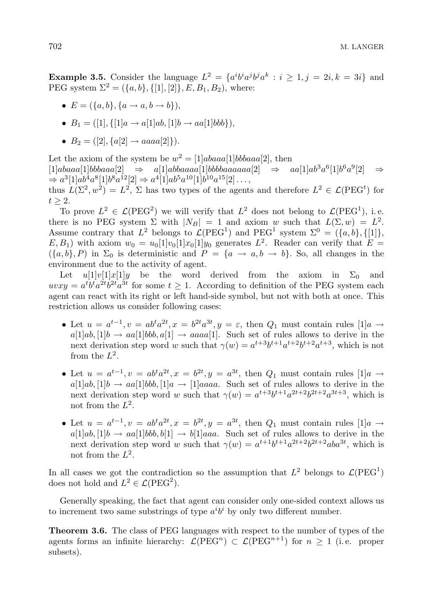**Example 3.5.** Consider the language  $L^2 = \{a^i b^i a^j b^j a^k : i \geq 1, j = 2i, k = 3i\}$  and PEG system  $\Sigma^2 = (\{a, b\}, \{[1], [2]\}, E, B_1, B_2)$ , where:

• 
$$
E = (\{a, b\}, \{a \rightarrow a, b \rightarrow b\}),
$$

•  $B_1 = ([1], {[1]a \rightarrow a[1]ab, [1]b \rightarrow aa[1]bbb}),$ 

• 
$$
B_2 = ([2], {a[2] \rightarrow aaaa[2]}).
$$

Let the axiom of the system be  $w^2 = [1]abaaa[1]bbbaaa[2]$ , then  $[1]abaaa[1]bbbaaa[2] \Rightarrow a[1]abbaaaaa[1]bbbbaaaaaaa[2] \Rightarrow aa[1]ab^3a^6[1]b^6a^9[2] \Rightarrow$  $\Rightarrow$   $a^3[1]ab^4a^8[1]b^8a^{12}[2] \Rightarrow a^4[1]ab^5a^{10}[1]b^{10}a^{15}[2] \ldots,$ thus  $L(\Sigma^2, w^2) = L^2$ ,  $\Sigma$  has two types of the agents and therefore  $L^2 \in \mathcal{L}(\text{PEG}^t)$  for  $t \geq 2$ .

To prove  $L^2 \in \mathcal{L}(PEG^2)$  we will verify that  $L^2$  does not belong to  $\mathcal{L}(PEG^1)$ , i.e. there is no PEG system  $\Sigma$  with  $|N_B| = 1$  and axiom w such that  $L(\Sigma, w) = L^2$ . Assume contrary that  $L^2$  belongs to  $\mathcal{L}(PEG^1)$  and  $PEG^1$  system  $\Sigma^0 = (\{a, b\}, \{[1]\},\$  $E, B_1$ ) with axiom  $w_0 = u_0[1]v_0[1]x_0[1]y_0$  generates  $L^2$ . Reader can verify that  $E =$  $(\{a, b\}, P)$  in  $\Sigma_0$  is deterministic and  $P = \{a \rightarrow a, b \rightarrow b\}$ . So, all changes in the environment due to the activity of agent.

Let  $u[1]v[1]x[1]y$  be the word derived from the axiom in  $\Sigma_0$  and  $uvw = a<sup>t</sup>b<sup>t</sup>a<sup>2t</sup>b<sup>2t</sup>a<sup>3t</sup>$  for some  $t \ge 1$ . According to definition of the PEG system each agent can react with its right or left hand-side symbol, but not with both at once. This restriction allows us consider following cases:

- Let  $u = a^{t-1}$ ,  $v = ab^t a^{2t}$ ,  $x = b^{2t} a^{3t}$ ,  $y = \varepsilon$ , then  $Q_1$  must contain rules  $[1]a \rightarrow$  $a[1]ab, [1]b \rightarrow aa[1]bbb, a[1] \rightarrow aaaa[1]$ . Such set of rules allows to derive in the next derivation step word w such that  $\gamma(w) = a^{t+3}b^{t+1}a^{t+2}b^{t+2}a^{t+3}$ , which is not from the  $L^2$ .
- Let  $u = a^{t-1}$ ,  $v = ab^t a^{2t}$ ,  $x = b^{2t}$ ,  $y = a^{3t}$ , then  $Q_1$  must contain rules  $[1]a \rightarrow$  $a[1]ab, [1]b \rightarrow aa[1]bbb, [1]a \rightarrow [1]aaaa.$  Such set of rules allows to derive in the next derivation step word w such that  $\gamma(w) = a^{t+3}b^{t+1}a^{2t+2}b^{2t+2}a^{3t+3}$ , which is not from the  $L^2$ .
- Let  $u = a^{t-1}$ ,  $v = ab^t a^{2t}$ ,  $x = b^{2t}$ ,  $y = a^{3t}$ , then  $Q_1$  must contain rules  $[1]a \rightarrow$  $a[1]ab, [1]b \rightarrow aa[1]bbb, b[1] \rightarrow b[1]aaa$ . Such set of rules allows to derive in the next derivation step word w such that  $\gamma(w) = a^{t+1}b^{t+1}a^{2t+2}b^{2t+2}aba^{3t}$ , which is not from the  $L^2$ .

In all cases we got the contradiction so the assumption that  $L^2$  belongs to  $\mathcal{L}(PEG<sup>1</sup>)$ does not hold and  $L^2 \in \mathcal{L}(\text{PEG}^2)$ .

Generally speaking, the fact that agent can consider only one-sided context allows us to increment two same substrings of type  $a^i b^i$  by only two different number.

Theorem 3.6. The class of PEG languages with respect to the number of types of the agents forms an infinite hierarchy:  $\mathcal{L}(PEG^n) \subset \mathcal{L}(PEG^{n+1})$  for  $n \geq 1$  (i.e. proper subsets).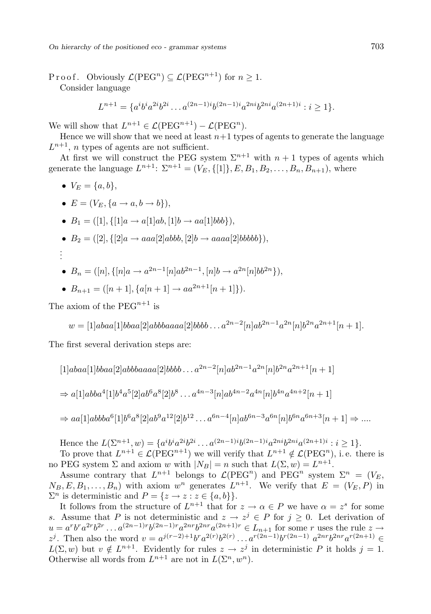On hierarchy of the positioned eco - grammar systems 703

Proof. Obviously  $\mathcal{L}(\text{PEG}^n) \subseteq \mathcal{L}(\text{PEG}^{n+1})$  for  $n \geq 1$ .

Consider language

$$
L^{n+1} = \{a^i b^i a^{2i} b^{2i} \dots a^{(2n-1)i} b^{(2n-1)i} a^{2ni} b^{2ni} a^{(2n+1)i} : i \ge 1\}.
$$

We will show that  $L^{n+1} \in \mathcal{L}(\text{PEG}^{n+1}) - \mathcal{L}(\text{PEG}^n)$ .

Hence we will show that we need at least  $n+1$  types of agents to generate the language  $L^{n+1}$ , *n* types of agents are not sufficient.

At first we will construct the PEG system  $\Sigma^{n+1}$  with  $n+1$  types of agents which generate the language  $L^{n+1}$ :  $\Sigma^{n+1} = (V_E, \{[1]\}, E, B_1, B_2, \ldots, B_n, B_{n+1}),$  where

•  $V_E = \{a, b\},\,$ 

. .

• 
$$
E = (V_E, \{a \to a, b \to b\}),
$$

• 
$$
B_1 = ([1], \{[1]a \rightarrow a[1]ab, [1]b \rightarrow aa[1]bbb\}),
$$

•  $B_2 = ([2], \{[2]a \rightarrow aaa[2]abbb, [2]b \rightarrow aaaa[2]bbbb \},$ .

• 
$$
B_n = ([n], \{ [n]a \to a^{2n-1}[n]ab^{2n-1}, [n]b \to a^{2n}[n]bb^{2n} \}),
$$

• 
$$
B_{n+1} = ([n+1], {a[n+1]} \rightarrow aa^{2n+1}[n+1]).
$$

The axiom of the  $PERG^{n+1}$  is

$$
w = [1]abaa[1]bbaa[2]abbbaaaa[2]bbbb\dots a^{2n-2}[n]ab^{2n-1}a^{2n}[n]b^{2n}a^{2n+1}[n+1].
$$

The first several derivation steps are:

$$
[1]abaa[1]bbaa[2]abbbaaaa[2]bbbb \dots a^{2n-2}[n]ab^{2n-1}a^{2n}[n]b^{2n}a^{2n+1}[n+1]
$$
  
\n
$$
\Rightarrow a[1]abba^{4}[1]b^{4}a^{5}[2]ab^{6}a^{8}[2]b^{8}\dots a^{4n-3}[n]ab^{4n-2}a^{4n}[n]b^{4n}a^{4n+2}[n+1]
$$
  
\n
$$
\Rightarrow aa[1]abbba^{6}[1]b^{6}a^{8}[2]ab^{9}a^{12}[2]b^{12}\dots a^{6n-4}[n]ab^{6n-3}a^{6n}[n]b^{6n}a^{6n+3}[n+1] \Rightarrow \dots
$$

Hence the  $L(\Sigma^{n+1}, w) = \{a^i b^i a^{2i} b^{2i} \dots a^{(2n-1)i} b^{(2n-1)i} a^{2ni} b^{2ni} a^{(2n+1)i} : i \ge 1\}.$ 

To prove that  $L^{n+1} \in \mathcal{L}(PEG^{n+1})$  we will verify that  $L^{n+1} \notin \mathcal{L}(PEG^n)$ , i.e. there is no PEG system  $\Sigma$  and axiom w with  $|N_B| = n$  such that  $L(\Sigma, w) = L^{n+1}$ .

Assume contrary that  $L^{n+1}$  belongs to  $\mathcal{L}(PEG^n)$  and  $PEG^n$  system  $\Sigma^n = (V_E,$  $N_B, E, B_1, \ldots, B_n$  with axiom  $w^n$  generates  $L^{n+1}$ . We verify that  $E = (V_E, P)$  in  $\Sigma^n$  is deterministic and  $P = \{z \to z : z \in \{a, b\}\}.$ 

It follows from the structure of  $L^{n+1}$  that for  $z \to \alpha \in P$  we have  $\alpha = z^s$  for some s. Assume that P is not deterministic and  $z \to z^j \in P$  for  $j \geq 0$ . Let derivation of  $u = a^r b^r a^{2r} b^{2r} \dots a^{(2n-1)r} b^{(2n-1)r} a^{2nr} b^{2nr} a^{(2n+1)r} \in L_{n+1}$  for some r uses the rule  $z \to z$  $z^{j}$ . Then also the word  $v = a^{j(r-2)+1}b^{r}a^{2(r)}b^{2(r)} \dots a^{r(2n-1)}b^{r(2n-1)} a^{2nr}b^{2nr}a^{r(2n+1)}$  ∈  $L(\Sigma, w)$  but  $v \notin L^{n+1}$ . Evidently for rules  $z \to z^j$  in deterministic P it holds  $j = 1$ . Otherwise all words from  $L^{n+1}$  are not in  $L(\Sigma^n, w^n)$ .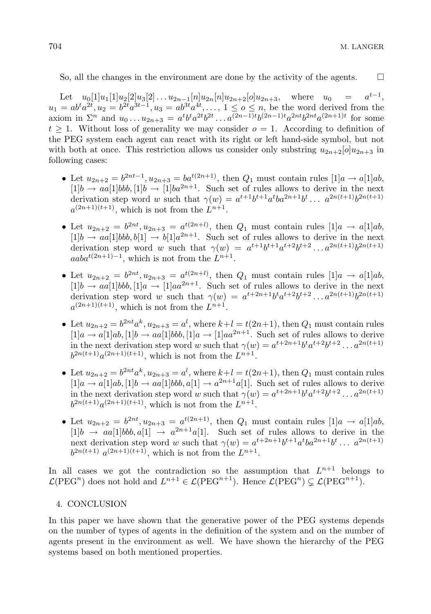So, all the changes in the environment are done by the activity of the agents.  $\Box$ 

Let  $u_0[1]u_1[1]u_2[2]u_3[2] \ldots u_{2n-1}[n]u_{2n}[n]u_{2n+2}[o]u_{2n+3}$ , where  $u_0 =$  $^{t-1},$  $u_1 = ab^t a^{2t}, u_2 = b^{2t} a^{3t-1}, u_3 = ab^{3t} a^{4t}, \dots, 1 \le o \le n$ , be the word derived from the axiom in  $\Sigma^n$  and  $u_0 \dots u_{2n+3} = a^t b^t a^{2t} b^{2t} \dots a^{(2n-1)t} b^{(2n-1)t} a^{2nt} b^{2nt} a^{(2n+1)t}$  for some  $t > 1$ . Without loss of generality we may consider  $o = 1$ . According to definition of the PEG system each agent can react with its right or left hand-side symbol, but not with both at once. This restriction allows us consider only substring  $u_{2n+2}[o]u_{2n+3}$  in following cases:

- Let  $u_{2n+2} = b^{2nt-1}, u_{2n+3} = ba^{t(2n+1)}$ , then  $Q_1$  must contain rules  $[1]a \rightarrow a[1]ab$ ,  $[1]b \rightarrow aa[1]bbb, 1]b \rightarrow [1]ba^{2n+1}$ . Such set of rules allows to derive in the next derivation step word w such that  $\gamma(w) = a^{t+1}b^{t+1}a^tba^{2n+1}b^t \dots a^{2n(t+1)}b^{2n(t+1)}$  $a^{(2n+1)(t+1)}$ , which is not from the  $L^{n+1}$ .
- Let  $u_{2n+2} = b^{2nt}, u_{2n+3} = a^{t(2n+l)}$ , then  $Q_1$  must contain rules  $[1]a \rightarrow a[1]ab$ ,  $[1]b \rightarrow aa[1]bbb, b[1] \rightarrow b[1]a^{2n+1}$ . Such set of rules allows to derive in the next derivation step word w such that  $\gamma(w) = a^{t+1}b^{t+1}a^{t+2}b^{t+2} \dots a^{2n(t+1)}b^{2n(t+1)}$  $aaba^{t(2n+1)-1}$ , which is not from the  $L^{n+1}$ .
- Let  $u_{2n+2} = b^{2nt}, u_{2n+3} = a^{t(2n+l)}$ , then  $Q_1$  must contain rules  $[1]a \to a[1]ab$ ,  $[1]b \rightarrow aa[1]bbb, [1]a \rightarrow [1]aa^{2n+1}$ . Such set of rules allows to derive in the next derivation step word w such that  $\gamma(w) = a^{t+2n+1}b^t a^{t+2} b^{t+2} \dots a^{2n(t+1)} b^{2n(t+1)}$  $a^{(2n+1)(t+1)}$ , which is not from the  $L^{n+1}$ .
- Let  $u_{2n+2} = b^{2nt} a^k$ ,  $u_{2n+3} = a^l$ , where  $k+l = t(2n+1)$ , then  $Q_1$  must contain rules  $[1]a \rightarrow a[1]ab$ ,  $[1]b \rightarrow aa[1]bbb$ ,  $[1]a \rightarrow [1]aa^{2n+1}$ . Such set of rules allows to derive in the next derivation step word w such that  $\gamma(w) = a^{t+2n+1}b^t a^{t+2} b^{t+2} \dots a^{2n(t+1)}$  $b^{2n(t+1)}a^{(2n+1)(t+1)}$ , which is not from the  $L^{n+1}$ .
- Let  $u_{2n+2} = b^{2nt} a^k$ ,  $u_{2n+3} = a^l$ , where  $k+l = t(2n+1)$ , then  $Q_1$  must contain rules  $[1]a \rightarrow a[1]ab$ ,  $[1]b \rightarrow aa[1]bbb$ ,  $a^{2n+1}a[1]$ . Such set of rules allows to derive in the next derivation step word w such that  $\gamma(w) = a^{t+2n+1}b^t a^{t+2} b^{t+2} \dots a^{2n(t+1)}$  $b^{2n(t+1)}a^{(2n+1)(t+1)}$ , which is not from the  $L^{n+1}$ .
- Let  $u_{2n+2} = b^{2nt}, u_{2n+3} = a^{t(2n+1)}$ , then  $Q_1$  must contain rules  $[1]a \to a[1]ab$ ,  $[1]b \rightarrow aa[1]bbb, a[1] \rightarrow a^{2n+1}a[1]$ . Such set of rules allows to derive in the next derivation step word w such that  $\gamma(w) = a^{t+2n+1}b^{t+1}a^tba^{2n+1}b^t \dots a^{2n(t+1)}$  $b^{2n(t+1)} a^{(2n+1)(t+1)}$ , which is not from the  $L^{n+1}$ .

In all cases we got the contradiction so the assumption that  $L^{n+1}$  belongs to  $\mathcal{L}(PEG^n)$  does not hold and  $L^{n+1} \in \mathcal{L}(PEG^{n+1})$ . Hence  $\mathcal{L}(PEG^n) \subsetneq \mathcal{L}(PEG^{n+1})$ .

# 4. CONCLUSION

In this paper we have shown that the generative power of the PEG systems depends on the number of types of agents in the definition of the system and on the number of agents present in the environment as well. We have shown the hierarchy of the PEG systems based on both mentioned properties.